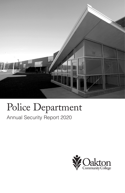

# Police Department

# Annual Security Report 2020

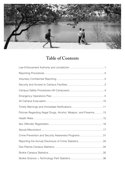

# **Table of Contents**

| Policies Regarding Illegal Drugs, Alcohol, Weapon, and Firearms13 |  |
|-------------------------------------------------------------------|--|
|                                                                   |  |
|                                                                   |  |
|                                                                   |  |
| Crime Prevention and Security Awareness Programs31                |  |
|                                                                   |  |
|                                                                   |  |
|                                                                   |  |
|                                                                   |  |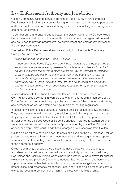# **Law Enforcement Authority and Jurisdiction**

Oakton Community College serves a portion of Cook County at two campuses: Des Plaines and Skokie. It is a center for higher education, and an active part of the northeast Cook County community. Although rare, criminal activity and emergencies can occur on campus.

To combat crime and ensure public peace, the Oakton Community College Police Department is a visible part of campus life. The department is organized, trained, and equipped to provide progressive law enforcement and emergency services to the campus community.

The Oakton Police Department draws its authority from the Illinois Community College Act, which notes:

Illinois Compiled Statutes Ch. 110 ILCS 805/3–42.1

…Members of the Police Department shall be conservators of the peace and as such shall have all the powers possessed by policemen in cities and sheriff's in counties, including the power to make arrests on view or warrants of violations of state statutes and city or county ordinances of the counties in which the community college is located, when such is required for the protection of community college properties and interests, and its students and personnel, and within such counties when specifically requested by appropriate state or local law enforcement officials.

In accordance with the Illinois Compiled Statutes, the Board of Trustees of Community College District 535 confers authority on and appoints members of the Police Department to protect the properties and interest of the college, its students, and personnel, as well as enforce college traffic and parking regulations.

In cases of violation of state statutes or Oakton policies, police have two options. They may press criminal charges, or, in addition to or in lieu of pressing charges, they may refer individuals to the Office of Student Affairs if there appears to be a violation of the college's Code of Student Conduct. If referred to Student Affairs, violators must comply with all Notices to Appear served by that office. Failure to appear or comply may result in additional charges or a suspension from Oakton.

Oakton police officers have no power to serve and execute the civil process. Oakton police cooperate with all law enforcement agencies and investigate crime reports from members of the college community. Reports not relating to Oakton are referred to the appropriate agency.

Oakton Community College police officers do have the power and authority to apprehend and arrest persons involved in criminal activity on campus. In addition, Des Plaines and Skokie municipal officers have the authority to make arrests for criminal violations that take place on Oakton's campuses. Each department augments and supports the other within their jurisdictions during mutual investigations, arrests, prosecutions, and emergency responses. Local and Oakton police meet regularly to exchange ideas and concerns and maintain a close working relationship.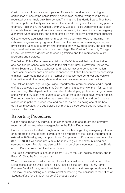Oakton police officers are sworn peace officers who receive basic training and certification at one of the police training academies located throughout the state, regulated by the Illinois Law Enforcement Training and Standards Board. They have the same police authority as city police officers and county sheriffs, including powers of arrest. Additionally, the Oakton Community College Police Department can obtain immediate backup support from local law enforcement, fire protection, and emergency authorities when necessary, and cooperates fully with local law enforcement agencies.

Officers receive additional training through Northeast Multi-Regional Training, Inc.; in-house programs and programs offered by other law enforcement agencies; and professional trainers to augment and enhance their knowledge, skills, and expertise to professionally and ethically police the college. The Oakton Community College Police Department is dedicated to ongoing training and the improvement of its programs and services.

The Oakton Police Department maintains a LEADS terminal that provides trained and certified personnel with access to the National Crime Information Center, the Illinois Secretary of State databases, and national law enforcement information. These computer databases are used to enhance the Police Department by accessing criminal history data; national and international police records; driver and vehicle information; and other local, state, and federal law enforcement information.

The Oakton Community College Police Department's sworn personnel and support staff are dedicated to ensuring that Oakton remains a safe environment for learning and teaching. The department is committed to developing problem-solving partnerships with faculty, staff, and students, as well as state and local government bodies. The department is committed to maintaining the highest ethical and performance standards in policies, procedures, and actions, as well as being one of the best qualified, motivated, and supervised community college police departments in the state and the nation.

# **Reporting Procedures**

Oakton encourages any individual on either campus to accurately and promptly report all crimes and other emergencies to the Police Department.

House phones are located throughout all campus buildings. Any emergency situation or in-progress crime at either campus can be reported to the Police Department at extension 1888 using any campus phone. Cell phone or off-campus users must dial 847.635.1888. Cell phone users must be ready to give their exact building and campus location. People may also call 9-1-1 to be directly connected to the Skokie or Des Plaines Police and Fire Departments.

The Police Department is located in Room 1280 at the Des Plaines campus, and in Room C100 at the Skokie campus.

When crimes are reported to police, officers from Oakton, and possibly from other jurisdictions such as Des Plaines Police, Skokie Police, or Cook County Forest Preserve District Police, are dispatched to that location and take appropriate action. This may include making a custodial arrest or referring the individual to the Office of Student Affairs for a Student Code of Conduct violation.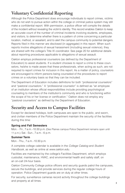# **Voluntary Confidential Reporting**

Although the Police Department does encourage individuals to report crimes, victims who do not wish to pursue action within the college or criminal justice system may still make a confidential report. With permission, a police officer will compile the details of the incident without revealing the victim's identity. This record enables Oakton to keep an accurate count of the number of criminal incidents involving students, employees, and visitors; to determine whether there is a pattern of crime concerning a particular location, method, or assailant; and to alert the campus community to potential dangers. Reports filed in this manner are disclosed (in aggregate) in this report. When such reports involve allegations of sexual harassment (including sexual violence), they are shared with the college's Title IX coordinator. See page 20 for additional details about reporting procedures applicable to allegations of sexual assault.

Oakton employs professional counselors (as defined by the Department of Education) to assist students. If a student chooses to report a crime to these counselors, he/she is made aware that these professionals, when acting as such, are not required to report crimes for inclusion in this report. As a matter of policy, counselors are encouraged to inform persons being counseled of the procedures to report crimes on a voluntary basis so that they can be included.

The Department of Education includes definitions for both "professional counselors" and "pastoral counselors." A "professional counselor" is defined as "an employee of an institution whose official responsibilities include providing psychological counseling to members of the institution's community and who is functioning within the scope of his or her license or certification." Oakton does not employ any "pastoral counselors" as defined by the Department of Education.

# **Security and Access to Campus Facilities**

Except for declared holidays, both campuses are open to the public, and sworn, and civilian members of the Police Department maintain the security of the facilities during this time:

#### **Spring and Fall Semesters**

Mon. - Fri., 7 a.m. - 10:30 p.m. (Des Plaines campus Police Department remains open until 11 p.m.); Sat. - Sun., 7 a.m. - 6 p.m.

### **Summer Term**

Mon. - Thu., 7 a.m. - 10:30 p.m.

A complete college calendar is available in the College Catalog and Student Handbook, as well as online at www.oakton.edu.

Facilities are maintained by the college's Facilities Department, which employs custodial, maintenance, HVAC, and environmental health and safety staff, on an on-call 24-hour basis.

Oakton Community College police officers and security guards patrol the campuses, secure the buildings, and provide services during the regular college hours of operation. Police Department guards are on duty at other times.

For security, surveillance cameras record activity throughout the college buildings and property at all times.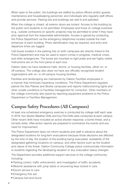When open to the public, the buildings are staffed by police officers and/or guards; maintenance and housekeeping personnel; and individuals who regularly staff offices and provide services. Parking lots and buildings are well lit and patrolled.

When the college is closed, all exterior doors are locked. Access to the building by the public and students is not permitted. Employees and those on college business (e.g., outside contractors on specific projects) may be permitted to enter if they have prior approval from the responsible administrator. Access is gained by contacting the Police Department via the emergency telephones located outside the main entrances of each building. Photo identification may be required, and entry and departure times are logged.

Call boxes located in the parking lots on both campuses are directly linked to the Police Department and may be used to report crimes in progress, medical crises, and other emergencies. The boxes are mounted on light poles and are highly visible. Instructions are on the front panel of each box.

Oakton does not have residence halls, dorms, or housing facilities, either on- or off-campus. The college also does not have any officially recognized student organizations with on- or off-campus housing facilities.

Facilities and landscaping are maintained by Oakton Facilities employees in a manner that minimizes hazardous conditions. The Police Department regularly patrols the Des Plaines and Skokie campuses and reports malfunctioning lights and other unsafe conditions to Facilities management for correction. Other members of the college community also assist by reporting equipment problems to the Police Department or Facilities Management.

# **Campus Safety Procedures (All Campuses)**

At least one scheduled emergency exercise is conducted by college staff each year. In 2019, four Severe Weather Drills and four Fire Drills were conducted at each campus. Other recent drills have included an active shooter response, a bomb threat, and a tornado strike. After-action reports are prepared to summarize the events and any need for improvement.

The Police Department does not inform students and staff in advance about the designated locations for long-term evacuations because those decisions are affected by the time of day, the location of the building being evacuated, availability of the designated gathering locations on campus, and other factors such as the location and nature of the threat. Oakton Community College police communicate information to students regarding the developing situation or any evacuation status changes.

The Department provides additional support services to the college community, including:

- Parking control, traffic enforcement, and investigation of traffic accidents.
- Motorist assistance with jump starts or recovering keys locked in cars.
- Escort service to cars.
- Emergency first aid.
- Campus lost and found.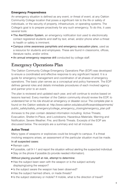### **Emergency Preparedness**

An emergency situation is defined as any event, or threat of event, at any Oakton Community College location that poses a significant risk to the life or safety of individuals, or the security of property, infrastructure, or operating systems. The College's goal is to prepare proactively for any such emergency. To do this, it uses several tools:

- The Alert! Oakton System, an emergency notification tool used to electronically contact registered students and staff by text, email, and/or phone when a threat to health or safety is imminent.
- Campus crime awareness pamphlets and emergency evacuation plans, used as a resource for students and employees. These are found in classrooms, offices, literature racks, and/or online.
- An annual emergency response drill conducted by college staff.

# **Emergency Operations Plan**

The Oakton Community College Emergency Operations Plan (EOP) was developed to ensure a coordinated and effective response to any significant hazard. It is a guide for emergency management and coordination of all phases of emergency operations. The basic plan serves as a conceptual and policy framework. The EOP defines general roles and details immediate procedures of each involved agency and partner prior to an event.

The plan is reviewed and updated each year, and will continue to evolve based on lessons learned. Every member of the Oakton community should review the EOP, to understand her or his role should an emergency or disaster occur. The complete plan is found on the Oakton website at: http://www.oakton.edu/about/officesanddepartments/ public\_safety/safety\_emergency/college\_emergency\_closing/emergency\_plan.pdf

Annexes to the plan contain detailed information including: Active Threats; Evacuation, Shelter-In-Place, and Lockdowns; Hazardous Materials; Warning and Notification; Severe Weather; Fire; and Bomb Threats. Excerpts of the EOP are discussed below. The excerpts are a summary and not all inclusive.

# **Active Threat**

Many types of weapons or explosives could be brought to campus. If a threat involving weapons arises, an assessment of the particular situation must be made.

### In all suspected cases:

- Remain calm
- If possible, call 9-1-1 and report the situation without alerting the suspected individual.
- Stay on the phone if possible (to provide needed information).

#### Without placing yourself at risk, attempt to determine:

- Has the subject been seen with the weapon or is the subject actively displaying/using the weapon?
- Is the subject aware the weapon has been observed?
- Has the subject harmed others, or made threats?
- Is the subject stationary or mobile? If mobile, what is the direction of travel?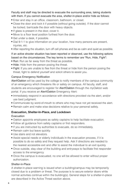Faculty and staff may be directed to evacuate the surrounding area, taking students with them. If you cannot evacuate the area, shelter-in-place and/or hide as follows:

- Enter and stay in an office, classroom, bathroom, or closet.
- Close the door and lock it if possible (without going outside). If the door cannot be locked, barricade the door with heavy objects.
- If glass is present in the door, cover it.
- Move to a floor level position furthest from the door.
- Get under a desk, if possible.
- Dial 9-1-1 to give information on your location, how many persons are present, iniuries, etc.
- After reporting the situation, turn off cell phones and be as calm and quiet as possible.

# If an active shooter situation has been reported or observed, use the following options based on the circumstances. The key terms to remember are "Run, Hide, Fight":

- Run: Run as far away from the threat as possible.
- Hide: Hide from the person posing the threat.
- Fight: If you are unable to flee from the threat or hide from the person posing the threat, fight to defend yourself and solicit others to assist you.

### Campus Emergency Notification

Alert!Oakton will be used by the college to notify members of the campus community of an emergency which threatens life or safety on campus. All faculty, staff, and students are encouraged to register for Alert! Oakton through the myOakton web portal. If you receive an Alert!Oakton Emergency Alert:

- Immediately respond in accordance with directions provided via the alert, and/or use best judgment.
- Communicate by word-of-mouth to others who may have not yet received the alert.
- Remain calm and make wise decisions relative to your personal safety.

### **Evacuation, Shelter-In-Place, and Lockdown**

### Evacuation

- Oakton appoints employees as safety captains to help facilitate evacuation.
- Follow all quidance from safety captains or first responders.
- If you are instructed by authorities to evacuate, do so immediately.
- Remain calm but leave quickly.
- Use stairs and not elevators.
- Assist special needs or elderly individuals in the evacuation process, if it is possible to do so safely and they request help. Ask if directions are needed to the nearest accessible exit and offer to assist the individual to an exit quickly.
- Once outside, stay clear of the building and entryways to facilitate first responder access to the emergency.
- Once the campus is evacuated, no one will be allowed to enter without proper authorization.

#### Shelter-in-Place

A shelter-in-place warning is issued when a building/campus may be temporarily closed due to a problem or threat. The purpose is to secure exterior doors while normal activities continue within the building(s). General steps for a shelter-in-place are described in the Active Threat section above.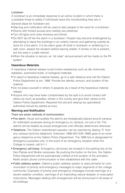### Lockdown

A lockdown is an immediate response to an active incident in which there is a possible threat to safety if individuals leave the room/building they are in. General steps for lockdown are:

- Warning and notification will be used to alert people to the need for a lockdown.
- Rooms with limited access and visibility are preferred.
- Turn off lights and close windows and blinds.
- Do NOT set off the fire alarm in a lockdown. People may become endangered by attempting to leave the buildings in an orderly manner and gathering outside as done for a fire alarm. If a fire alarm goes off while in lockdown or sheltering in a safe room, assess the situation before leaving shelter. If smoke or fire is present, exit the area in a safe manner.
- When the situation is secure, an "all clear" announcement will be made on the PA system.

### **Hazardous Materials**

A hazardous material release could involve substances such as lab chemicals, asbestos, automotive fluids, or biological materials.

- To report a hazardous material release, go to a safe distance and call the Oakton Police Department at ext. 1888. Provide the identity, amount, and location of the material.
- Do not place yourself or others in jeopardy as a result of the hazardous material release.
- Anyone who may have been contaminated by the spill is to avoid contact with others as much as possible, remain in the vicinity and give their names to the Oakton Police Department. Required first aid and cleanup by specialized authorities should be started at once.

### **Warning and Notification**

#### There are seven methods of communication:

- Fire alarm. Visual and audible fire alarms are strategically placed around campus for notification purposes during an emergency on campus, not just a fire. Fire alarms will be treated as actual emergencies until officially determined otherwise.
- Telephone. The Oakton switchboard operator can be reached by dialing "0" from any campus land-line telephone. Extension 1888 (847-635-1888) goes to an emergency telephone at the Oakton Police Department. The 1888 line is designated for emergency purposes only. In the event of an emergency situation when the College is closed, call 9-1-1.
- Emergency call boxes. Emergency call boxes are located in the parking lots at the Des Plaines and Skokie campuses. By pushing the button on the box, the Oakton Police Department will be automatically notified of the location of the activation. Radio and/or phone communication is then established with the caller.
- Public address system. Oakton's public address system is used primarily for communication of priority and emergency messages to major segments of the college community. Examples of priority and emergency messages include warnings of a severe weather condition, warnings of an impending natural disaster, or evacuation instructions. Messages dealing with emergencies will be announced in all areas of all buildings.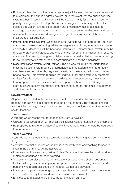- Bullhorns. Hand-held bullhorns (megaphones) will be used by response personnel to supplement the public address system, or in the event that the public address system is not functioning. Bullhorns will be used primarily for communication of priority, emergency and college business messages to major segments of the college population. Examples of priority and emergency messages include warnings of a severe weather condition, warnings of an impending natural disaster or evacuation instructions. Messages dealing with emergencies will be announced in all areas of all buildings.
- Internet and email systems. Oakton's Internet website will be used to provide information and warnings regarding existing emergency conditions, in as timely a manner as possible. Messages will be brief and informative. Oakton's email system may be utilized to provide staff/faculty and students with lengthier information and resource materials. As currently configured, Oakton's email is best suited for use in providing follow up information rather than to communicate during the emergency.
- Mass notification system (Alert!Oakton). The college will utilize the Alert!Oakton mass notification system during emergencies so that students, staff and faculty members can be notified by registered email, text message, cellphone, or other phone device. This system requires that individual college community members register for this notification service, in order to receive emergency messages through personal devices like a cellphone, pager or home phone. Unregistered individuals will receive emergency information through college email, the Internet, and other public systems.

#### **Severe Weather**

All persons should identify the shelter closest to their workstation or classroom and become familiar with other shelters throughout the campus. The tornado shelters are identified in the guides posted in classrooms, labs, offices and on the doors of shelter locations.

#### Tornado Watch

A tornado watch means that tornadoes are likely to develop.

- Oakton Police Department will monitor the National Weather Service announcements.
- Be prepared to move to a place of safety if the tornado watch should be upgraded to a tornado warning.

#### Tornado Warning

A tornado warning means that a tornado has actually been sighted somewhere in the general area.

- Any time information indicates Oakton is in the path of an approaching tornado, a siren in the community will be activated.
- If severe conditions warrant, Oakton Police Department will use the public address system to announce a tornado warning.
- Students and employees should immediately proceed to the shelter designated for the building they are occupying and provide assistance to any special needs persons who require assistance in the area. Do not use elevators.
- In the event a person cannot get to a shelter, they should seek cover in an interior room or office, away from windows, or in a reinforced stairwell.
- Employees and students are encouraged to stay on campus.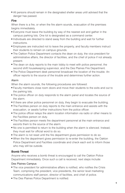■ All persons should remain in the designated shelter areas until advised that the danger has passed.

#### **Fire**

When there is a fire, or when the fire alarm sounds, evacuation of the premises begins immediately.

- Everyone must leave the building by way of the nearest exit and gather in the campus parking lots. One lot is designated as a command center.
- Individuals are directed to stand away from the building and wait for further **instructions**
- Employees are instructed not to leave the property, and faculty members instruct their students to remain on campus grounds.
- The Oakton Police Department contacts the dean on duty, the vice president for administrative affairs, the director of facilities, and the chief of police if not already present.
- The dean on duty reports to the main lobby to meet with police personnel, the second shift housekeeping supervisor, and the Des Plaines Fire Department.
- The Police Department desk personnel broadcast the location of the trouble. An officer reports to the source of the trouble and determines further action.

#### Alarm

When the alarm sounds, the following procedures are followed:

- Faculty members close room doors and move their students to the exits and out to the parking lots.
- The police officer on duty responds to the alarm panel and locates the source of the alarm.
- If there are other police personnel on duty, they begin to evacuate the building.
- The Facilities person on duty reports to the main entrance and assists with the evacuation, or awaits further instructions from the police officer.
- The police officer relays the alarm location information via radio or other means to the Facilities person on duty.
- The Facilities person meets fire department personnel at the main entrance and escorts them to the source of the alarm.
- No one is permitted to return to the building when the alarm is silenced. Instead, they must wait for official word to do so.
- The alarm is not reset until the fire department gives permission to do so.
- When the fire department gives permission to re-enter the building, the Oakton Police Department and Facilities coordinate and check each exit to inform those who may still be outside.

# **Bomb Threat**

Anyone who receives a bomb threat is encouraged to call the Oakton Police Department immediately. Once such a call is received, next steps include:

### Des Plaines Campus

- The vice president for administrative affairs is notified, who notifies the Crisis Team, comprising the president, vice presidents, the senior level marketing communications staff person, director of facilities, and chief of police.
- The Des Plaines Police Department is notified.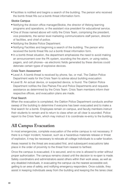■ Facilities is notified and begins a search of the building. The person who received the bomb threat fills out a bomb threat information form.

### Skokie Campus

- Notifying the division office manager/Skokie, the director of lifelong learning programs and operations, or the assistant vice president for educational service.
- One of those named above will notify the Crisis Team, comprising the president, vice presidents, the senior level marketing communications staff person, director of facilities, and chief of police.
- Notifying the Skokie Police Department.
- Notifying Facilities and beginning a search of the building. The person who received the bomb threat fills out a bomb threat information form.
- In a bomb threat situation, the department emphasizes the need to avoid making an announcement over the PA system, sounding the fire alarm, or using radios, pagers, and cell phones—as electronic fields generated by these devices could detonate certain types of explosive devices.

#### Crisis Team Assessment

- Level A: A bomb threat is received by phone, fax, or mail. The Oakton Police Department waits for the Crisis Team to advise about building evacuation.
- Level B: An actual device, or suspected device, is found. The Oakton Police Department notifies the Des Plaines Fire and Police Departments and requests assistance as determined by the Crisis Team. Crisis Team members inform their respective offices, and evacuation plans are made.

#### Final Search

When the evacuation is completed, the Oakton Police Department conducts another sweep of the building to determine if everyone has been evacuated and to make a final search for a bomb. Employees remain on campus, and faculty members instruct their students to remain and to return to class when an all clear is sounded. Police report to the Crisis Team, which may instruct it to coordinate re-entry to the building.

# **All Campus Evacuation**

In most emergencies, complete evacuation of the entire campus is not necessary. If there is a major incident, however, such as a hazardous materials release or threat of explosion, it may be necessary to relocate all college individuals to a safer location.

Areas nearest to the threat are evacuated first, and subsequent evacuations take place in the order of proximity to the threat from nearest to farthest.

Once the campus is evacuated, it is secured, and no one is allowed to enter without proper authorization. The campus remains closed until the decision to re-open is made. Safety coordinators and administrators assist others within their work areas, as well as any disabled individuals, in evacuating the campus via the nearest accessible exit, getting to an area of safety, and notifying emergency responders. Once outside, they assist in keeping individuals away from the building and keeping the fire lanes clear.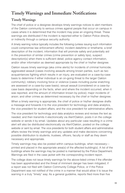# **Timely Warnings and Immediate Notifications**

# **Timely Warnings**

The chief of police or a designee develops timely warnings notices to alert members of the Oakton community to serious crimes against people that occur on campus in cases where it is determined that the incident may pose an ongoing threat. These warnings are distributed if the incident is reported either to Oakton Police directly, or indirectly through a campus security authority.

A timely warning notice typically includes the following (unless issuing such information could compromise law enforcement efforts): incident date/time or timeframe, a brief description of the incident, information that will promote safety and potentially aid in the prevention of similar crimes (crime prevention or safety tips), suspect description(s) when there is sufficient detail, police agency contact information, and/or other information as deemed appropriate by the chief or his/her designee.

Oakton issues timely warnings (aka crime alerts) for incidents of criminal homicide; aggravated assault (cases involving assaults among known parties, such as two acquaintances fighting which results in an injury, are evaluated on a case-by-case basis to determine if either individual is an on-going threat to the larger Oakton community); robbery involving force or violence (cases including purse snatching are assessed on a case-by-case basis); sexual assault (considered on a case-bycase basis depending on the facts, when and where the incident occurred, when it was reported, and the amount of information known by police); major incidents of arson; and other crimes as determined necessary by the chief or his/her designee.

When a timely warning is appropriate, the chief of police or his/her designee drafts a message and forwards it to the vice president for technology and data analytics, the vice president for student affairs, and the vice president for administrative affairs.

The vice president for technology and data analytics reviews and revises the text as needed, and then transmits it electronically via Alert!Oakton, posts it on the college website or sends it by email. Updates about any particular case resulting in a crime alert will also be distributed electronically via Alert!Oakton, posted on the college website or sent by email. The vice presidents for both student affairs and administrative affairs review the timely warnings and any updates and make decisions concerning possible distribution to students, trustees, officers, faculty or staff as they deem necessary and appropriate.

Timely warnings may also be posted within campus buildings, when necessary printed and placed in the appropriate area(s) of the affected building(s). A list of the buildings where the warnings may be posted is maintained by the Police Department. Warnings are filed in the case jacket with the corresponding incident report.

The college does not issue timely warnings for the above-listed crimes if the offender has been apprehended and the threat of imminent danger has been mitigated, if a report was not filed with Oakton Community College Police, or if the Police Department was not notified of the crime in a manner that would allow it to issue the warning in a truly "timely" way. As a general guideline, reports filed more than five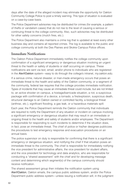days after the date of the alleged incident may eliminate the opportunity for Oakton Community College Police to post a timely warning. This type of situation is evaluated on a case-by-case basis.

The Police Department advisories may be distributed for crimes (for example, a pattern of thefts or vandalism cases) that do not rise to the level of causing a serious or continuing threat to the college community. Also, such advisories may be distributed for other safety concerns (mulch fires, etc.).

The Police Department also maintains a crime log that is updated at least every other business day and contains all reported crimes. The log is available to the public and college community at both the Des Plaines and Skokie Campus Police offices.

# **Immediate Notifications**

The Oakton Police Department immediately notifies the college community upon confirmation of a significant emergency or dangerous situation involving an urgent threat to the health or safety of students or staff occurring on campus. These notifications are sent via text, email, and/or phone to individuals who are registered in the Alert! Oakton system—easy to do through the college's intranet, my.oakton.edu.

If a serious crime, natural disaster, or man-made emergency occurs that poses an immediate threat to the health and safety of the Oakton community, or a segment of the community, federal law requires that the college provides immediate notification. Types of incidents that may cause an immediate threat could include, but are not limited to, an active shooter on campus, a hostage/barricade situation, a riot, a suspicious package with confirmation of a device, a tornado, a fire/explosion, suspicious death, structural damage to an Oakton owned or controlled facility, a biological threat (anthrax, etc.), significant flooding, a gas leak, or a hazardous materials spill.

Each year, the Police Department reminds the Oakton community that individuals are required to notify the Department of any situation or incident on campus involving a significant emergency or dangerous situation that may result in an immediate or ongoing threat to the health and safety of students and/or employees. The Department is responsible for responding to such incidents to determine if the situation does, in fact, pose an immediate threat. The chief of police or his/her designee publicizes the procedures to test emergency response and evacuation procedures on an annual basis.

The police supervisor on duty is responsible for confirming that there is a significant emergency or dangerous situation, and notifying the chief if that situation poses an immediate threat to the community. The chief is responsible for immediately notifying the vice president for administrative affairs, the vice president for student affairs, and the vice president for technology and data analytics, who are responsible for conducting a "shared assessment" with the chief and for developing message content and determining which segment(s) of the campus community should receive notification.

The shared assessment group then initiates the notification system using Alert!Oakton, Oakton emails, the campus public address system, and/or the Police Department public address system—unless issuing a notification will, in the judgment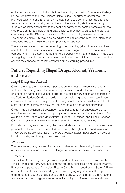of the first responders (including, but not limited to, the Oakton Community College Police Department, the Des Plaines/Skokie Police Department, and/or the Des Plaines/Skokie Fire and Emergency Medical Services), compromise the efforts to assist a victim or to contain, respond to, or otherwise mitigate the emergency. If there is an immediate threat to the health or safety of students or employees, the vice president for technology and data analytics provides updates to the campus community via Alert! Oakton, emails, and Oakton's website, www.oakton.edu. The campus community may also be advised to call Oakton's recorded information telephone line at 847.635.1600, then press 8, for updates.

There is a separate procedure governing timely warning (aka crime alert) notices sent to the Oakton community about serious crimes against people that occur on campus, when it is determined by the Police Department that the incident may pose an ongoing threat. If Oakton implements the Immediate Notification procedures, the college may choose not to implement the timely warning procedures.

# **Policies Regarding Illegal Drugs, Alcohol, Weapons, and Firearms**

# **Illegal Drugs and Alcohol**

Oakton prohibits the unlawful use, possession, distribution, dispensing, and manufacture of illicit drugs and alcohol on campus. Anyone under the influence of drugs or alcohol on campus is subject to appropriate disciplinary action as described in the Code of Student Conduct or college policy, including suspension, termination of employment, and referral for prosecution. Any sanctions are consistent with local, state, and federal laws and may include incarceration and/or monetary fines.

Oakton has established a Substance Abuse Policy to further encourage a drugand alcohol-free environment. The policy can be found in the Student Handbook available in the Office of Student Affairs, Student Life Offices, and Health Services Offices—or online at www.oakton.edu/studentlife/student-handbook.pdf.

Educational programs discussing the use and abuse of alcohol and drugs and other personal health issues are presented periodically throughout the academic year. These programs are advertised in the *OCCurrence* student newspaper, on college bulletin boards, and through www.oakton.edu.

# **Weapons**

The possession, use, or sale of ammunition, dangerous chemicals, fireworks, major or minor explosives, or any lethal or dangerous weapon is forbidden on campus.

# **Firearms**

The Oakton Community College Police Department enforces all provisions of the Illinois Concealed Carry Act, including the storage, possession and use of firearms. Persons who possess a Concealed Firearm Carry Permit issued by the State of Illinois, or any other state, are prohibited by law from bringing any firearm, either openly carried, concealed, or partially concealed into any Oakton campus building. Signs are posted on the college entrance doors indicating that firearms are not allowed.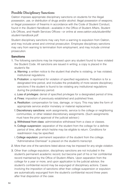# **Possible Disciplinary Sanctions**

Oakton imposes appropriate disciplinary sanctions on students for the illegal possession, use, or distribution of drugs and/or alcohol; illegal possession of weapons; or illegal possession of firearms in accordance with the Code of Student Conduct, found in the Student Handbook—available in the Office of Student Affairs, Student Life Offices, and Health Services Offices—or online at www.oakton.edu/studentlife/ student-handbook.pdf.

Student disciplinary sanctions may vary from a warning to expulsion from Oakton, and may include arrest and criminal prosecution. Employee disciplinary sanctions may vary from warning to termination from employment, and may include criminal prosecution.

#### **Sanctions**

- 1. The following sanctions may be imposed upon any student found to have violated the Student Code. All sanctions are issued in writing; a copy is placed in the student's file:
	- a. Warning: a written notice to the student that she/he is violating, or has violated, institutional regulations.
	- b. Probation: a reprimand for violation of specified regulations. Probation is for a designated time period, and includes the probability of more severe disciplinary sanctions if the student is found to be violating any institutional regulations during the probationary period.
	- c. Loss of privileges: denial of specified privileges for a designated period of time.
	- d. Fines: imposition of previously established and published fines.
	- e. Restitution: compensation for loss, damage, or injury. This may take the form of appropriate service and/or monetary or material replacement.
	- f. Discretionary sanctions: work assignments, service to the college or neighboring communities, or other related discretionary assignments. (Such assignments must have the prior approval of the judicial advisor.)
	- g. Withdrawal from class: administrative withdrawal from a class or classes.
	- h. College suspension: separation of the student from the college for a definite period of time, after which he/she may be eligible to return. Conditions for readmission may be specified.
	- i. College expulsion: permanent separation of the student from the college. "Administrative Dismissal" is placed on the student's transcript.
- 2. More than one of the sanctions listed above may be imposed for any single violation.
- 3. Other than college expulsion, disciplinary sanctions are not included in the student's permanent academic record, but become part of his or her confidential record maintained by the Office of Student Affairs. Upon separation from the college for a year or more, and upon application to the judicial advisor, the student's confidential record may be expunged of disciplinary actions. Cases involving the imposition of sanctions other than college suspension or expulsion are automatically expunged from the student's confidential record three years after final disposition of the case.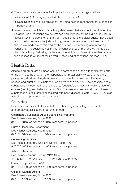- 4. The following sanctions may be imposed upon groups or organizations:
	- a. Sanctions (a.) through (e.) listed above in Section 1.
	- b. Deactivation: loss of all privileges, including college recognition, for a specified period of time.
- 5. In each case in which a judicial body determines that a student has violated the Student Code, sanctions are determined and imposed by the judicial advisor. In cases in which persons other than, or in addition to, the judicial advisor have been authorized to serve as the judicial body, the recommendation of all members of the judicial body are considered by the advisor in determining and imposing sanctions. The advisor is not limited to sanctions recommended by members of the judicial body. Following the hearing, the judicial body and the advisor advise the accused in writing of their determination and of sanctions imposed, if any.

# **Health Risks**

Alcohol and drugs are all mood-altering in some fashion, and affect different parts of the brain, some of which are responsible for motor skills, visual and auditory perception, short and long-term memory, and emotional wellness. Depending on dosage and duration, a substance use disorder can develop. The classifications of substances include marijuana, stimulants (cocaine), depressants (valium, alcohol), opiates (heroin), and hallucinogens (LSD). The use, misuse, and abuse of these substances are risk factors associated with heart disease, ulcers, HIV/AIDS, suicide, and clinical depression, just to name a few.

# **Counseling**

Resources are available for alcohol and other drug counseling, rehabilitation, and employee assistance programs, through:

#### Coordinator, Substance Abuse Counseling Programs

Des Plaines campus, Room 2727 847.635.1845, or extension 1845 from campus phones

#### Human Resources Department

Des Plaines campus, Room 1260 847.635.1675, or extension 1675 from campus phones

#### Counseling Services

Des Plaines campus, Wellness Center, Room 1200 847.635.1885, or extension 1885 from campus phones

#### Advising Services

Des Plaines campus, Rooms 1912-1924 847.635.1741, or extension 1741 from campus phones Skokie campus, Room A100 847.635.1400, or extension 1400 from campus phones

#### Office of Student Affairs

Des Plaines campus, Room 2270 847.635.1739, or extension 1739 from campus phones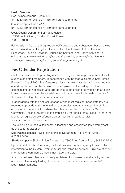#### Health Services

Des Plaines campus, Room 1200 847.635.1885, or extension 1885 from campus phones

Skokie campus, Room A175 847.635.1419, or extension 1419 from campus phones

#### Cook County Department of Public Health

15900 South Cicero, Building E, Oak Forest 708.633.4000.

Full details on Oakton's drug-free school/workplace and substance abuse policies are contained in the Drug-Free Campus Handbook available from Human Resources, Advising Services, Counseling Services, and Health Services—or online at https://www.oakton.edu/about/officesanddepartments/hr/audiences/ current\_employees\_family/oaktonpolicies/drugfreebook.pdf.

# **Sex Offender Registration**

Oakton is committed to providing a safe learning and working environment for all students and staff members. In accordance with the federal Campus Sex Crimes Prevention Act of 2002, it is Oakton's policy to administratively track convicted sex offenders who are enrolled in classes or employed at the college, and to communicate as necessary and appropriate to the college community. In addition, it may be necessary to place certain restrictions on these individuals in terms of their use of college facilities and resources.

In accordance with the Act, sex offenders who must register under state law are required to provide notice of enrollment or employment at any institution of higher education in the jurisdiction where the offender resides. This data for Oakton Community College District 535 is compiled by the Illinois State Police. To learn the identity of registered sex offenders on or near either campus, visit www.isp.state.il.us/sor/sor.cfm.

The following are the Oakton campus locations and associated law enforcement agencies for registration:

Des Plaines campus – Des Plaines Police Department, 1418 Miner Street, 847.391.5400

Skokie campus – Skokie Police Department, 7300 Niles Center Road, 847.982.5900

Upon receipt of this information, the local law enforcement agency forwards the information to the Oakton Community College Police Department. Juvenile offender information is confidential, thus is not made available.

A list of adult sex offenders currently registered for classes is available by request at Oakton Community College Police Department Headquarters, Room 1280, Des Plaines campus.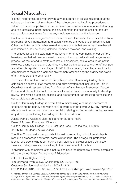# **Sexual Misconduct**

It is the intent of this policy to prevent any occurrence of sexual misconduct at the college and to inform all members of the college community of the procedures to follow if questions or problems arise. To provide an environment conducive to learning and to professional performance and development, the college shall not tolerate sexual misconduct in any form by any employee, student or third person.

Oakton Community College does not discriminate on the basis of sex in its educational programs. Sexual harassment and sexual violence are types of sex discrimination. Other prohibited acts (whether sexual in nature or not) that are forms of sex-based discrimination include dating violence, domestic violence, and stalking.

The college issues this statement of policy to inform the community of our comprehensive plan that addresses sexual misconduct and our educational programs and procedures that attend to matters of sexual harassment, sexual assault, domestic violence, dating violence, and stalking, whether the incident occurs on or off campus and after it is reported to a college official\*. In this context, the college reaffirms its commitment to maintain a campus environment emphasizing the dignity and worth of all members of the community.

To oversee the implementation of this policy, Oakton Community College has established a team of staff members and administrators that includes the Title IX Coordinator and representatives from Student Affairs, Human Resources, Oakton Police, and Student Conduct. The team will meet at least once annually to develop, review, and revise protocols, policies, and procedures for addressing domestic and sexual violence on campus.

Oakton Community College is committed to maintaining a campus environment emphasizing the dignity and worth of all members of the community. Any individual who wishes to report a concern or complaint relating to discrimination or harassment may do so by contacting the college's Title IX coordinator:

Juletta Patrick, Assistant Vice President for Student Affairs Dean of Access, Equity, and Diversity Oakton Community College, 1600 East Golf Road, Des Plaines, IL 60016 847.635.1745, jpatrick@oakton.edu

The Title IX coordinator can provide information regarding both informal dispute resolution processes and formal complaint options. The college will protect the identity of persons who report having been victims of sexual assault, domestic violence, dating violence, or stalking to the fullest extent of the law.

Individuals with complaints of this nature also have the right to file a formal complaint with the United States Department of Education:

Office for Civil Rights (OCR) 400 Maryland Avenue, SW, Washington, DC 20202-1100 Customer Service Hotline Number: 800.421.3481 Fax: 202.453.6012, TDD: 877.521.2172; Email: OCR@ed.gov, Web: www.ed.gov/ocr

\*A "college official" is a Campus Security Authority as defined by the Clery Act, including Oakton Community College Police Department personnel, individual(s) or organization(s) specified in the policy to which students and employees should report crimes or official(s) who have significant responsibility for student and campus activities.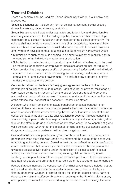# **Terms and Definitions**

There are numerous terms used by Oakton Community College in our policy and procedures.

Sexual Misconduct can include any form of sexual harassment, sexual assault, domestic violence, dating violence, or stalking.

Sexual Harassment is illegal under both state and federal law and objectionable under any circumstance. It is the college's policy that no member of the college community may sexually harass any other member of the college community. The college shall not condone sexual harassment of or by students, faculty members, staff members, or administrators. Sexual advances, requests for sexual favors, or other verbal or physical conduct of a sexual nature constitute harassment when:

- Submission to such conduct is deemed to be either explicitly or implicitly a term or condition of an individual's employment or education;
- Submission to or rejection of such conduct by an individual is deemed to be used as the basis for academic or employment decisions affecting that individual; or
- Such conduct has the purpose or effect of unreasonably interfering with an individual's academic or work performance or creating an intimidating, hostile, or offensive educational or employment environment. This includes any program or activity under the auspices of the college.

Consent is defined in Illinois as "a freely given agreement to the act of sexual penetration or sexual conduct in question. Lack of verbal or physical resistance or submission by the victim resulting from the use of force or threat of force by the accused shall not constitute consent. The manner of dress of the victim at the time of the offense shall not constitute consent." The law also states:

A person who initially consents to sexual penetration or sexual conduct is not deemed to have consented to any sexual penetration or sexual conduct that occurs after he or she withdraws consent during the course of that sexual penetration or sexual conduct. In addition to this, prior relationship does not indicate consent to future activity; a person who is asleep or mentally or physically incapacitated, either through the effect of drugs or alcohol or for any other reason, is not capable of giving valid consent; and, when under the influence of mind-altering substances such as drugs or alcohol, one is unable to neither give nor get consent.

Sexual Assault is sexual penetration by force or threat of force, or an act of sexual penetration when the victim was unable to understand the nature of the act or was unable to give knowing consent. Sexual assault can be defined as any type of sexual contact or behavior that occurs by force or without consent of the recipient of the unwanted sexual activity. Falling under the definition of sexual assault is sexual activity such as forced sexual intercourse, sodomy, child molestation, incest, fondling, sexual penetration with an object, and attempted rape. It includes sexual acts against people who are unable to consent either due to age or lack of capacity.

Factors that can increase the seriousness of criminal sexual assault include, but are not limited to: situations where the offender is armed with, uses, or displays a firearm, dangerous weapon, or similar object; the offender causes bodily harm or death to the victim; the offender threatens or endangers the life of the victim or any other person; the assault is committed during the course of another felony; the victim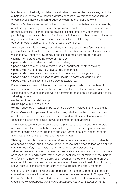is elderly or is physically or intellectually disabled; the offender delivers any controlled substance to the victim without the victim's consent or by threat or deception; or circumstances involving differing ages between the offender and victim.

Domestic Violence can be defined as a pattern of abusive behavior that is used by an intimate partner to gain or maintain power and control over the other intimate partner. Domestic violence can be physical, sexual, emotional, economic, or psychological actions or threats of actions that influence another person. It includes any behaviors that intimidate, manipulate, humiliate, isolate, frighten, terrorize, coerce, threaten, blame, hurt, injure, or wound someone.

Any person who hits, chokes, kicks, threatens, harasses, or interferes with the personal liberty of another family or household member has broken Illinois domestic violence law. Under this law, family or household members are defined as:

- family members related by blood or marriage;
- people who are married or used to be married:
- people who share or used to share a home, apartment, or other dwelling;
- people who have or say they have a child in common;
- people who have or say they have a blood relationship through a child;
- people who are dating or used to date, including same sex couples; and
- people with disabilities and their personal assistants.

Dating Violence means violence committed by a person who is or has been in a social relationship of a romantic or intimate nature with the victim and where the existence of such a relationship will be determined based on a consideration of the following factors:

- (a) the length of the relationship,
- (b) the type of relationship, and
- (c) the frequency of interaction between the persons involved in the relationship.

Dating Violence is a pattern of behavior in any relationship that is used to gain or maintain power and control over an intimate partner. Dating violence is a form of domestic violence and is also known as intimate partner violence.

Illinois law states that domestic violence is physical abuse, harassment, forcible actions, or interference with the personal liberty of another family or household member (including but not limited to spouses, former spouses, dating partners, and people who share a home, such as roommates).

Stalking is committed when a person (a) engages in a course of conduct directed at a specific person, and the conduct would cause that person to fear for his or her safety or the safety of another, or suffer other emotional distress; (b)

follows/observes a person on at least two separate occasions and transmits a threat, or causes fear of bodily harm, sexual assault, confinement, or restraint of that person or a family member; or (c) has previously been convicted of stalking and on one occasion follows/observes that same person and transmits a threat of bodily harm, sexual assault, confinement, or restraint to that person or a family member.

Comprehensive legal definitions and penalties for the crimes of domestic battery, criminal sexual assault, stalking, and other offenses can be found in Chapter 720, Section 5 of the Illinois Compiled Statutes, or on the Illinois General Assembly website at www.ilga.gov/legislation/ilcs/ilcs3.asp?ChapterID=53&ActID=1876.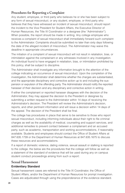# **Procedures for Reporting a Complaint**

Any student, employee, or third party who believes he or she has been subject to any form of sexual misconduct, or any student, employee, or third party who believes that they have witnessed an incident of sexual misconduct, should report the incident to the Vice President for Student Affairs, the Executive Director of Human Resources, the Title IX Coordinator or a designee (the "Administrator"). When possible, the report should be made in writing. Any college employee who receives a complaint of sexual misconduct shall immediately forward such complaint to the Administrator. Complaints should be submitted no later than sixty days following the date of the alleged incident of misconduct. The Administrator may waive this deadline in appropriate circumstances.

The initiation of a complaint of sexual misconduct will not result in retaliation, bias, or intimidation against the complainant or any witnesses involved in any investigation. An individual found to have engaged in retaliation, bias, or intimidation prohibited by this policy, shall be subject to discipline.

The Administrator shall investigate any information brought to the attention of the college indicating an occurrence of sexual misconduct. Upon the completion of the investigation, the Administrator shall determine whether the charges are substantiated, and the appropriate disciplinary and corrective action up to and including the suspension or expulsion of the offending party. The Administrator should notify the reported harasser of their decision and any disciplinary and corrective action in writing.

If either the complainant or reported harasser disagrees with the decision of the Administrator, they may appeal the decision to the President or designee by submitting a written request to the Administrator within 14 days of receiving the Administrator's decision. The President will review the Administrator's decision, reports, and other pertinent information and will issue a decision within 14 days of the appeal. The decision of the President shall be final.

The college has procedures in place that serve to be sensitive to those who report sexual misconduct, including informing individuals about their right to file criminal charges as well as the availability of medical, counseling and support services, and additional remedies to prevent contact between a complainant and an accused party, such as academic, transportation and working accommodations, if reasonably available. Students and employees should contact the Office of Student Affairs at 847.635.1739 or the Department of Human Resources at 847.635.1675 to discuss these resources and accommodations.

If a report of domestic violence, dating violence, sexual assault or stalking is reported to the college, the below are the procedures that the college will follow as well as a statement of the standard of evidence that will be used during any on campus student conduct proceedings arising from such a report:

# **Sexual Harassment Evidentiary Standard**

Sexual harassment cases are referred to the Title IX Coordinator, the Office of Student Affairs, and/or the Department of Human Resources for prompt investigation. Cases are adjudicated through using the preponderance of the evidence standard.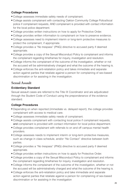# **College Procedures**

- College assesses immediate safety needs of complainant.
- College assists complainant with contacting Oakton Community College Police/local police if complainant requests, AND complainant is provided with contact information for the local police department.
- College provides written instructions on how to apply for Protective Order.
- College provides written information to complainant on how to preserve evidence.
- College assesses need to implement interim or long-term protective measures to protect the complainant, if appropriate.
- College provides a "No trespass" (PNG) directive to accused party if deemed appropriate.
- College provides a copy of the Sexual Misconduct Policy to complainant and informs the complainant regarding timeframes for inquiry, investigation and resolution.
- College informs the complainant of the outcome of the investigation, whether or not the accused will be administratively charged and what the outcome of the hearing is.
- College enforces the anti-retaliation policy and takes immediate and separate action against parties that retaliate against a person for complaining of sex-based discrimination or for assisting in the investigation.

# **Sexual Assault**

### **Evidentiary Standard**

Sexual assault cases are referred to the Title IX Coordinator and are adjudicated through the Student Code of Conduct using the preponderance of the evidence standard.

# **College Procedures**

- Depending on when reported (immediate vs. delayed report), the college provides complainant with access to medical care.
- College assesses immediate safety needs of complainant.
- College assists complainant with contacting local police if complainant requests, and complainant is provided with contact information for local police department.
- College provides complainant with referrals to on and off campus mental health providers.
- College assesses needs to implement interim or long-term protective measures, such as change in class schedule, and/or "No Contact" directive between both parties.
- College provides a "No trespass" (PNG) directive to accused party if deemed appropriate.
- College provides written instructions on how to apply for Protective Order.
- College provides a copy of the Sexual Misconduct Policy to complainant and informs the complainant regarding timeframes for inquiry, investigation and resolution.
- College informs the complainant of the outcome of the investigation, whether or not the accused will be administratively charged and what the outcome of the hearing is.
- College enforces the anti-retaliation policy and take immediate and separate action against parties that retaliate against a person for complaining of sex-based discrimination or for assisting in the investigation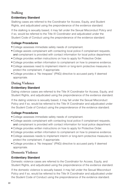# **Stalking**

# **Evidentiary Standard**

Stalking cases are referred to the Coordinator for Access, Equity, and Student Rights, and adjudicated using the preponderance of the evidence standard.

If the stalking is sexually based, it may fall under the Sexual Misconduct Policy and if so, would be referred to the Title IX Coordinator and adjudicated under the Student Code of Conduct using the preponderance of the evidence standard.

# **College Procedures**

- College assesses immediate safety needs of complainant.
- College assists complainant with contacting local police if complainant requests, and complainant is provided with contact information for local police department.
- College provides written instructions on how to apply for Protective Order.
- College provides written information to complainant on how to preserve evidence.
- College assesses need to implement interim or long-term protective measures to protect the complainant, if appropriate.
- College provides a "No trespass" (PNG) directive to accused party if deemed appropriate.

# **Dating Violence**

### **Evidentiary Standard**

Dating violence cases are referred to the Title IX Coordinator for Access, Equity, and Student Rights, and adjudicated using the preponderance of the evidence standard.

If the dating violence is sexually based, it may fall under the Sexual Misconduct Policy and if so, would be referred to the Title IX Coordinator and adjudicated under the Student Code of Conduct using the preponderance of the evidence standard.

# **College Procedures**

- College assesses immediate safety needs of complainant.
- College assists complainant with contacting local police if complainant requests, and complainant is provided with contact information for local police department.
- College provides written instructions on how to apply for Protective Order.
- College provides written information to complainant on how to preserve evidence.
- College assesses needs to implement interim or long-term protective measures to protect the complainant, if appropriate.
- College provides a "No trespass" (PNG) directive to accused party if deemed appropriate.

# **Domestic Violence**

# **Evidentiary Standard**

Domestic violence cases are referred to the Coordinator for Access, Equity, and Student Rights, and adjudicated using the preponderance of the evidence standard.

If the domestic violence is sexually based, it may fall under the Sexual Misconduct Policy and if so, would be referred to the Title IX Coordinator and adjudicated under the Student Code of Conduct using the preponderance of the evidence standard.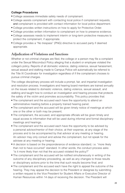### **College Procedures**

- College assesses immediate safety needs of complainant.
- College assists complainant with contacting local police if complainant requests, and complainant is provided with contact information for local police department.
- College provides written instructions on how to apply for Protective Order.
- College provides written information to complainant on how to preserve evidence.
- College assesses needs to implement interim or long-term protective measures to protect the complainant, if appropriate.
- College provides a "No trespass" (PNG) directive to accused party if deemed appropriate.

# **Adjudication of Violations and Sanctions**

Whether or not criminal charges are filed, the college or a person may file a complaint under the Sexual Misconduct Policy alleging that a student or employee violated the college's policy. Reports of all domestic violence, dating violence, sexual harassment, sexual assault and stalking made to Campus Police will automatically be referred to the Title IX Coordinator for investigation regardless of if the complainant chooses to pursue criminal charges.

The college disciplinary process will include a prompt, fair, and impartial investigation and resolution process. Investigators and hearing board members are trained annually on the issues related to domestic violence, dating violence, sexual assault, and stalking and taught how to conduct an investigation and hearing process that protects the safety of the victim and promotes accountability. This policy provides that:

- The complainant and the accused each have the opportunity to attend an administrative meeting before a properly trained hearing panel;
- The complainant and the accused will be given timely notice of meetings at which one or the other or both may be present;
- The complainant, the accused, and appropriate officials will be given timely and equal access to information that will be used during informal and formal disciplinary meetings and hearings;
- The complainant and the accused each have the opportunity to be advised by a personal advisor/mentor of their choice, at their expense, at any stage of the process and to be accompanied by that advisor at any meeting or hearing. An advisor may only consult and advise the complainant, but not speak for the advisee at any meeting or hearing;
- A decision is based on the preponderance of evidence standard, i.e. "more likely than not to have occurred" standard. In other words, the conduct process asks: "is it more likely than not that the accused violated the policy?"
- The complainant and the accused will be notified simultaneously in writing of the outcome of any disciplinary proceeding, as well as any changes to those results or disciplinary actions prior to the time that such results become final; and
- The complainant and the accused each have the right to appeal the outcome of the hearing. They may appeal the decision to the President or designee by submitting a written request to the Vice President for Student Affairs or Executive Director of Human Resources within 14 days of receiving the decision. The President will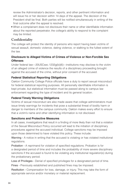review the Administrator's decision, reports, and other pertinent information and will issue his or her decision within 14 days of the appeal. The decision of the President shall be final. Both parties will be notified simultaneously in writing of the final outcome after the appeal is resolved.

■ When a complainant does not disclosure their name or other identifiable information about the reported perpetrator, the college's ability to respond to the complaint may be limited.

# **Confidentiality**

The college will protect the identity of persons who report having been victims of sexual assault, domestic violence, dating violence, or stalking to the fullest extent of the law.

# **Disclosure to Alleged Victims of Crimes of Violence or Non-Forcible Sex Offenses**

Under federal law—20USCsec.1232g(b)(6)—institutions may disclose to the victim of an alleged crime of violence the results of a disciplinary proceeding brought against the accused of the crime, without prior consent of the accused.

# **Federal Statistical Reporting Obligations**

Oakton Community College Police officials have a duty to report sexual misconduct for federal statistical reporting purposes. All personally identifiable information is kept private, but statistical information must be passed along to campus law enforcement regarding the type of incident and its general location.

# **Federal Timely Warning Obligations**

Victims of sexual misconduct are also made aware that college administrators must issue timely warnings for incidents that pose a substantial threat of bodily harm or danger to members of the campus community. Oakton makes every effort to ensure that a victim's name and other identifying information is not disclosed.

# **Sanctions and Protective Measures**

In all cases, investigations that result in a finding of more likely than not that a violation of the Sexual Misconduct Policy occurred will lead to the initiation of disciplinary procedures against the accused individual. College sanctions may be imposed upon those determined to have violated this policy. These include:

Warning - A notice in writing that the accused is violating or has violated institutional regulations.

Probation - A reprimand for violation of specified regulations. Probation is for a designated period of time and includes the probability of more severe disciplinary sanctions if the accused is found to be violating any institutional regulation(s) during the probationary period.

Loss of Privileges - Denial of specified privileges for a designated period of time.

Fines - Previously established and published fines may be imposed.

Restitution - Compensation for loss, damage, or injury. This may take the form of appropriate service and/or monetary or material replacement.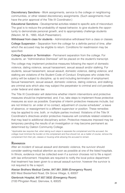Discretionary Sanctions - Work assignments, service to the college or neighboring communities, or other related discretionary assignments. (Such assignments must have the prior approval of the Title IX Coordinator.)

Educational Sanctions - Developmental activities related to specific acts of misconduct. The goal is to reduce the probability of repeat behavior, to give students the opportunity to demonstrate personal growth, and to appropriately challenge students (Mackin, M. B., 1993, ASJA Presentation).

Withdrawal from class for students - Administrative withdrawal from a class or classes.

College Suspension - Separation from the college for a definite period of time, after which the accused may be eligible to return. Conditions for readmission may be specified.

College Expulsion or Termination - Permanent separation from the college. For students, an "Administrative Dismissal" will be placed on the student's transcript.

The college may implement protective measures following the report of domestic violence, dating violence, sexual harassment, sexual assault and/or stalking. For students, sexual harassment, sexual assault, domestic violence, dating violence, and stalking are violations of the Student Code of Conduct. Employees who violate this policy will be subject to discipline, up to and including termination of employment. Sexual harassment, sexual assault, domestic violence, dating violence, and stalking are criminal acts which also may subject the perpetrator to criminal and civil penalties under federal and state law.

The Title IX Coordinator will determine whether interim interventions and protective measures should be implemented, and, if so, take steps to implement those protective measures as soon as possible. Examples of interim protective measures include, but are not limited to: an order of no contact, adjustment of course schedules\*, a leave of absence, or reassignment to a different supervisor or position. These remedies may be applied to one, both, or multiple parties involved. Violations of the Title IX Coordinator's directives and/or protective measures will constitute related violations that may lead to additional disciplinary action. Protective measures imposed may be temporary pending the results of an investigation or may become permanent as determined by Oakton Community College.

\*Applicable law requires that, when taking such steps to separate the complainant and the accused, the college must minimize the burden on the complainant and thus should not, as a matter of course, remove the complainant from their job, classes or housing while allowing the accused to remain.

# **Resources**

After an incident of sexual assault and domestic violence, the survivor should consider seeking medical attention as soon as possible at one of the listed hospitals. In Illinois, evidence must be collected even if a survivor chooses not to file a report with law enforcement. Hospitals are required to notify the local police department that treatment has been given to a sexual assault survivor; however the survivor is not required to file a report.

Alexian Brothers Medical Center, 847.981.3599 (Emergency Room) 800 West Biesterfield Road, Elk Grove Village, IL 60007

Glenbrook Hospital, 847.657.5632 (Emergency Room) 2100 Pfingsten Road, Glenview, IL 60025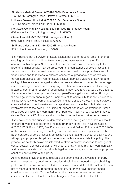St. Alexius Medical Center, 847.490.6930 (Emergency Room) 1555 North Barrington Road, Hoffman Estates, IL 60194 Lutheran General Hospital, 847.723.5154 (Emergency Room) 1775 Dempster Street, Park Ridge, IL 60068 Northwest Community Hospital, 847.618.4000 (Emergency Room) 800 W. Central Road, Arlington Heights, IL 60005 Skokie Hospital, 847.933.6950 (Emergency Room)

9600 Gross Point Road, Skokie, IL 60076

St. Francis Hospital, 847.316.4000 (Emergency Room) 355 Ridge Avenue, Evanston, IL 60202

It is important that a survivor of sexual assault not bathe, douche, smoke, change clothing or clean the bed/linen/area where they were assaulted if the offense occurred within the past 96 hours so that evidence as may be necessary to the proof of criminal activity may be preserved. In circumstances of sexual assault, if victims do not opt for forensic evidence collection, health care providers can still treat injuries and take steps to address concerns of pregnancy and/or sexually transmitted disease. Survivors of sexual assault, domestic violence, stalking, and dating violence are encouraged to also preserve evidence by saving text messages, instant messages, social networking pages, other communications, and keeping pictures, logs or other copies of documents, if they have any, that would be useful to the college adjudication process/hearing, panel/investigators, or police. Although the college strongly encourages all members of its community to report violations of this policy to law enforcement/Oakton Community College Police, it is the survivor's choice whether or not to make such a report and also have the right to decline involvement with the police. The Office of Student Affairs or Department of Human Resources will assist any community members with notifying local police if they so desire. See page 27 of this report for contact information for police departments.

If you have been the survivor of domestic violence, dating violence, sexual assault, or stalking, you should report the incident promptly to the Title IX Coordinator at 847.635.1745, Room 2270, Des Plaines campus and Oakton Police at 847.635.1888 (if the survivor so desires.) The college will provide resources to persons who have been survivors of sexual assault, domestic violence, dating violence, or stalking, and will apply appropriate disciplinary procedures to those who violate this policy. The procedures set forth below are intended to afford a prompt response to charges of sexual assault, domestic or dating violence, and stalking, to maintain confidentiality and fairness consistent with applicable legal requirements, and to impose appropriate sanctions on violators of this policy.

As time passes, evidence may dissipate or become lost or unavailable, thereby making investigation, possible prosecution, disciplinary proceedings, or obtaining protection from abuse orders related to the incident more difficult. If a victim chooses not to make a complaint regarding an incident, he or she nevertheless should consider speaking with Oakton Police or other law enforcement to preserve evidence in the event that the victim changes her/his mind at a later date.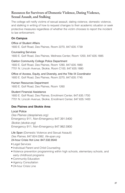# **Resources for Survivors of Domestic Violence, Dating Violence, Sexual Assault, and Stalking**

The college will notify victims of sexual assault, dating violence, domestic violence, and stalking in writing of how to request changes to their academic situation or seek protective measures regardless of whether the victim chooses to report the incident to law enforcement.

### **On Campus**

Office of Student Affairs 1600 E. Golf Road, Des Plaines, Room 2270, 847.635.1739

Counseling Services 1600 E. Golf Road, Des Plaines, Wellness Center, Room 1200, 847.635.1885

Oakton Community College Police Department 1600 E. Golf Road, Des Plaines, Room 1280, 847.635.1880 7701 N. Lincoln Avenue, Skokie, Room C100, 847.635.1880

Office of Access, Equity, and Diversity, and the Title IX Coordinator 1600 E. Golf Road, Des Plaines, Room 2270, 847.635.1745

Human Resources Department 1600 E. Golf Road, Des Plaines, Room 1260

Student Financial Assistance

1600 E. Golf Road, Des Plaines, Enrollment Center, 847.635.1700 7701 N. Lincoln Avenue, Skokie, Enrollment Center, 847.635.1400

### **Des Plaines and Skokie Area**

Local Police Des Plaines (desplaines.org) Emergency 911, Non-Emergency 847.391.5400 Skokie (skokie.org) Emergency 911, Non-Emergency 847.982.5900

Life Span (Domestic Violence and Sexual Assault) Des Plaines, 847.824.0382, life-span.org 24-hour Crisis Hot Line: 847.532.9540

- Legal Services
- Individual Parent and Child Counseling
- Violence prevention programming within high schools, elementary schools, and early childhood programs
- Community Education
- Agency Consultation
- 24-hour Crisis Line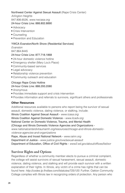#### Northwest Center Against Sexual Assault (Rape Crisis Center)

Arlington Heights 847.806.6526, www.nwcasa.org 24-hour Crisis Line: 888.802.8890

- Advocacy
- Crisis Intervention
- Counseling
- Prevention and Education

#### YWCA Evanston/North Shore (Residential Services)

Evanston

847.864.8445

#### 24-hour Crisis Line: 877.718.1868

- 24-hour domestic violence hotline
- Emergency shelter (Mary Lou's Place)
- Community-based services
- Legal advocacy
- Relationship violence prevention
- Community outreach and education

# Chicago Rape Crisis Hotline

#### 24-hour Crisis Line: 888.293.2080

- Anonymous
- Provides immediate support and crisis intervention
- Provides information and referrals to survivors, significant others and professionals

### **Other Resources**

Additional resources available to persons who report being the survivor of sexual assault, domestic violence, dating violence, or stalking, include: Illinois Coalition Against Sexual Assault - www.icasa.org Illinois Coalition Against Domestic Violence - www.ilcadv.org National Center on Domestic Violence, Trauma, and Mental Health (Chicago and Illinois Domestic Violence Agencies and Organizations www.nationalcenterdvtraumamh.org/resources/chicago-and-illinois-domesticviolence-agencies-and-organizations Rape, Abuse and Incest National Network - www.rainn.org Department of Justice - www.justice.gov/ovw/sexual-assault

Department of Education, Office of Civil Rights - www2.ed.gov/about/offices/list/ocr

# **Survivor Rights and Options**

Regardless of whether a community member elects to pursue a criminal complaint, the college will assist survivors of sexual harassment, sexual assault, domestic violence, dating violence, and stalking and will provide each survivor with a written explanation of their rights. In Illinois, any victim of a crime has rights that can be found here: http://codes.lp.findlaw.com/ilstatutes/725/120. Further, Oakton Community College complies with Illinois law in recognizing orders of protection. Any person who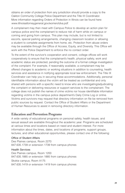obtains an order of protection from any jurisdiction should provide a copy to the Oakton Community College Police Department and the Title IX Coordinator. More information regarding Orders of Protection in Illinois can be found here: www.illinoisattorneygeneral.gov/women/idva.pdf.

A complainant may then meet with Campus Police to develop an action plan for campus police and the complainant to reduce risk of harm while on campus or coming and going from campus. This plan may include, but is not limited to: escorts, special parking arrangements, changing classroom location or allowing a student to complete assignments from home, etc. Protection from abuse orders may be available through the Office of Access, Equity, and Diversity. This Office will work with the Police Department to enforce the no contact order.

To the extent of the survivor's cooperation and consent, college offices will work cooperatively to ensure that the complainant's health, physical safety, work and academic status are protected, pending the outcome of a formal college investigation of the complaint. For example, if reasonably available, a complainant may be offered changes to academic or working situations in addition to counseling, health services and assistance in notifying appropriate local law enforcement. The Title IX Coordinator can help you in securing these accommodations. Additionally, personal identifiable information about the victim will be treated as confidential and only shared with persons with a specific need to know who are investigating/adjudicating the complaint or delivering resources or support services to the complainant. The college does not publish the names of crime victims nor house identifiable information regarding victims in the campus police department's Daily Crime Log or online. Victims and survivors may request that directory information on file be removed from public sources by request. Contact the Office of Student Affairs or the Department of Human Resources to assist in removing directory information.

# **Education and Prevention Programs**

A wide variety of educational programs on personal safety, health issues, and sexual assault are available throughout the academic year. Programs are scheduled at various times and locations based on need and student interest. For more information about the times, dates, and locations of programs, support groups, lectures, and other educational opportunities, please contact one of the following:

#### Office of Student Affairs

Des Plaines campus, Room 2270 847.635.1739 or extension 1739 from campus phones

#### Health Services

Des Plaines campus, Room 1200 847.635.1885 or extension 1885 from campus phones Skokie campus, Room A175 847.635.1419 or extension 1419 from campus phones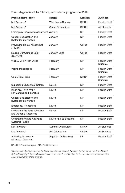The college offered the following educational programs in 2019:

| Program Name / Topic                                             | Date(s)                    | Location  | <b>Audience</b>                    |  |
|------------------------------------------------------------------|----------------------------|-----------|------------------------------------|--|
| Not Anymore*                                                     | Web Based/Ongoing          | DP/SK     | Faculty, Staff                     |  |
| Not Anymore*                                                     | <b>Spring Orientations</b> | DP/SK     | <b>All Students</b>                |  |
| Emergency Preparedness/Clery Act                                 | January                    | <b>DP</b> | Faculty, Staff                     |  |
| Gender Socialization and<br><b>Bystander Intervention</b>        | January                    | DP        | Faculty, Staff                     |  |
| <b>Preventing Sexual Misconduct</b><br>(Title IX)                | January                    | Online    | Faculty, Staff                     |  |
| Making Our Campus Safer<br>(Clery Act)                           | January -June              | Online    | Faculty, Staff                     |  |
| Walk A Mile in Her Shoes                                         | February                   | <b>DP</b> | Faculty, Staff,<br><b>Students</b> |  |
| Vagina Monologues                                                | February                   | <b>DP</b> | Faculty, Staff,<br><b>Students</b> |  |
| One Billion Rising                                               | February                   | DP/SK     | Faculty, Staff,<br><b>Students</b> |  |
| Supporting Students at Oakton                                    | March                      | <b>DP</b> | Faculty, Staff                     |  |
| If Not You, Then Who?<br>For Marginalized Identities             | March                      | <b>DP</b> | Faculty, Staff                     |  |
| Gender Socialization and<br><b>Bystander Intervention</b>        | March                      | DP        | Faculty, Staff                     |  |
| <b>Emergency Procedures</b>                                      | March                      | <b>DP</b> | Faculty, Staff                     |  |
| <b>Understanding Trans- Identities</b><br>and Oakton's Resources | March                      | DP        | Faculty, Staff                     |  |
| Understanding and Analyzing<br><b>Systemic Racism</b>            | March-April (6 Sessions)   | <b>DP</b> | Faculty, Staff                     |  |
| Not Anymore*                                                     | <b>Summer Orientations</b> | DP/SK     | <b>All Students</b>                |  |
| Not Anymore*                                                     | <b>Fall Orientations</b>   | DP/SK     | <b>All Students</b>                |  |
| Achieving Success in<br>a Diverse Classroom                      | Sept-Nov (8 Sessions)      | DP        | Faculty, Staff                     |  |

DP - Des Plaines campus SK - Skokie campus

\*Not Anymore Training includes topics such as Sexual Assault, Consent, Bystander Intervention, Alcohol, Dating/Domestic Violence, Stalking, Sexual Harassment, and What to Do If… It includes a comprehensive student evaluation of the program.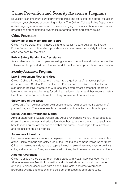# **Crime Prevention and Security Awareness Programs**

Education is an important part of preventing crime and for taking the appropriate action to lessen your chances of becoming a victim. The Oakton College Police Department makes ongoing efforts to educate the ever-changing community about common-sense precautions and heightened awareness regarding crime and safety issues.

# **Crime Prevention**

# **Safety Tip of the Week Bulletin Board**

Oakton Police Department places a standing bulletin board outside the Skokie Police Department Office which provides new crime prevention safety tips to all persons who pass by the office.

# **Public Safety Parking Lot Assistance**

Any student or school employees requiring a safety companion walk to their respective vehicles will be provided one. A constant deterrent to crime prevention is our mission.

# **Security Awareness Programs**

### **Law Enforcement Meet and Greet**

Oakton College Police Department organized a gathering of numerous police departments on Student Street at the Des Plaines campus. Students, faculty and staff gained positive interactions with local law enforcement personnel regarding laws, employment requirements for criminal justice students, and they received safety literature. This is an annual event due to great reviews from students.

### **Safety Tips of the Week**

Topics vary from sexual assault awareness, alcohol awareness, traffic safety, theft preventions, etc. The awareness board remains visible while the school is open.

### **Sexual Assault Awareness Month**

April of each year is Sexual Assault and Abuse Awareness Month. Its purpose is to disseminate awareness and education about how to prevent the act of assault and how to reach out for assistance to combat this crime. The college offers literature and counselors on a daily basis.

#### **Awareness Literature**

Each week new safety literature is displayed in front of the Police Department Office at the Skokie campus and entry area at the Des Plaines campus Police Department Office, containing a wide range of topics including sexual assault, ways to deal with college stress, alcohol/drug awareness addictions, theft prevention and many others.

### **Alcohol Awareness**

Oakton College Police Department participates with Health Services each April in Alcohol Awareness Month. Information is displayed about alcohol abuse, binge drinking, violence associated with alcohol, DUI facts, and other awareness programs available to students and college employees at both campuses.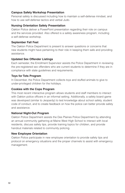#### **Campus Safety Workshop Presentation**

Personal safety is discussed including how to maintain a self-defense mindset, and how to use self-defense tactics and verbal Judo.

#### **Nursing Orientation Safety Presentation**

Oakton Police deliver a PowerPoint presentation regarding their role on campus and the services provided. Also offered is a safety awareness program, including a self-defense workshop.

#### **September Fall Fest**

The Oakton Police Department is present to answer questions or concerns that new students might have pertaining to their role in keeping them safe and providing assistance.

### **Updated Sex Offender Listings**

Each semester, the Enrollment Supervisor assists the Police Department in reviewing the pre-registered sex offenders who are current students to determine if they are in compliance with state guidelines and requirements.

#### **Toys for Tots Program**

In December, the Police Department collects toys and stuffed animals to give to under-privileged children for the holidays.

#### **Cookies with the Cops Program**

This most recent interactive program allows students and staff members to interact with Oakton police officers in an informal setting. Additionally, a safety board game was developed (similar to Jeopardy) to test knowledge about school safety, student code of conduct, and to create feedback on how the police can better provide safety and assistance.

#### **National Night-Out Program**

Oakton Police Department assists the Des Plaines Police Department by attending an annual community gathering at Maine West High School to interact with local residents, discuss safety tips, provide training topics for children, and provide handout materials related to community policing.

#### **New Employee Orientation**

Oakton Police participate in new employee orientation to provide safety tips and protocol on emergency situations and the proper channels to assist with emergency management.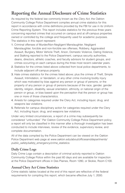# **Reporting the Annual Disclosure of Crime Statistics**

As required by the federal law commonly known as the Clery Act, the Oakton Community College Police Department compiles annual crime statistics for this report in accordance with crime definitions provided by the FBI for use in its Uniform Crime Reporting System. This report includes statistics for the previous three years concerning reported crimes that occurred on campus and at off-campus properties owned or controlled by the college and frequently used for academic purposes. The statistics in this report represent:

- 1. Criminal offenses of Murder/Non-Negligent Manslaughter, Negligent Manslaughter, forcible and non-forcible sex offenses, Robbery, Aggravated Assault, Burglary, Motor Vehicle Theft, Arson, Domestic Violence, Dating Violence, and Stalking reported to the Police Department, campus security authorities, deans, directors, athletic coaches, and faculty advisors for student groups, and crimes occurring on each campus during the three most recent calendar years.
- 2. Statistics for the crimes listed above collected from local police departments, to include adjacent off-campus property.
- 3. Hate crimes statistics for the crimes listed above; plus the crimes of Theft, Simple Assault, Intimidation, or Vandalism, or any other crime involving bodily injury which was motivated by bias against any person or group of persons, or the property of any person or group of persons because of the race, gender, gender identity, religion, disability, sexual orientation, ethnicity, or national origin of the person or group, or bias based upon the perception that the person or group has one or more of those characteristics.
- 4. Arrests for categories required under the Clery Act, including liquor, drug, and weapons law violations.
- 5. Referrals for campus disciplinary action for categories required under the Clery Act, including liquor, drug, and weapons law violations.

Under very limited circumstances, a report of a crime may subsequently be considered "unfounded." Per Oakton Community College Police Department policy, a report will only be classified in this manner after a thorough investigation has been conducted to include interviews, review of the evidence, supervisory review, and complete documentation.

All of the data compiled by the Police Department can be viewed on the Oakton Police Department web page at www.oakton.edu/about/officesanddepartments/ public\_safety/safety\_emergency/crime\_statistics.

# **Daily Crime Logs**

Daily Crime Logs contain a description of criminal activity reported to Oakton Community College Police within the past 60 days and are available for inspection at the Police Department offices in Des Plaines, Room 1280, or Skokie, Room C100.

# **Annual Clery Act Crime Statistics**

Crime statistic tables located at the end of this report are reflective of the federal requirements for compiling this report, which became effective July 1, 2000.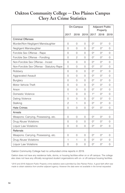# **Oakton Community College — Des Plaines Campus Clery Act Crime Statistics**

|                                           | On-Campus      |                | <b>Adjacent Public</b><br>Property |             |             |                |
|-------------------------------------------|----------------|----------------|------------------------------------|-------------|-------------|----------------|
|                                           | 2017           | 2018           | 2019                               | 2017        | 2018        | 2019           |
| <b>Criminal Offenses</b>                  |                |                |                                    |             |             |                |
| Murder/Non-Negligent Manslaughter         | $\Omega$       | $\mathbf 0$    | $\Omega$                           | $0^*$       | $0^*$       | $\Omega$       |
| Negligent Manslaughter                    | $\Omega$       | 0              | $\Omega$                           | $0^*$       | $\bigcap^*$ | 0              |
| Forcible Sex Offense - Rape               | $\Omega$       | 0              | $\Omega$                           | $0^*$       | $\bigcap^*$ | $\Omega$       |
| Forcible Sex Offense - Fondling           | $\mathbf 0$    | $\overline{c}$ | $\Omega$                           | $0^*$       | $0^*$       | $\Omega$       |
| Non-Forcible Sex Offense - Incest         | $\Omega$       | $\overline{0}$ | $\Omega$                           | $()^*$      | $\bigcap^*$ | 0              |
| Non-Forcible Sex Offense - Statutory Rape | $\Omega$       | $\overline{0}$ | $\Omega$                           | $0^*$       | $0^*$       | $\Omega$       |
| Robbery                                   | $\Omega$       | $\Omega$       | $\Omega$                           | $\bigcap^*$ | $()^*$      | $\Omega$       |
| <b>Aggravated Assault</b>                 | $\Omega$       | $\Omega$       | $\Omega$                           | $0^*$       | $0^*$       | $\Omega$       |
| Burglary                                  | $\Omega$       | 0              | $\Omega$                           | $0^*$       | $\bigcap^*$ | 0              |
| Motor Vehicle Theft                       | $\Omega$       | $\Omega$       | $\Omega$                           | $0^*$       | $0^*$       | $\Omega$       |
| Arson                                     | $\Omega$       | 0              | $\Omega$                           | $0^*$       | $0^*$       | $\Omega$       |
| Domestic Violence                         | 1              | $\Omega$       | $\Omega$                           | $1*$        | $\bigcap^*$ | $\Omega$       |
| Dating Violence                           | $\Omega$       | $\Omega$       | $\Omega$                           | $0^*$       | $0^*$       | $\Omega$       |
| Stalking                                  | $\overline{c}$ | 1              | $\Omega$                           | $\bigcap^*$ | $()^*$      | 0              |
| <b>Hate Crimes</b>                        | $\Omega$       | $\Omega$       | $\Omega$                           | $\bigcap^*$ | $()^*$      | $\Omega$       |
| Arrests                                   |                |                |                                    |             |             |                |
| Weapons: Carrying, Possessing, etc.       | $\Omega$       | $\Omega$       | $\Omega$                           | $0^*$       | $0^*$       | 0              |
| Drug Abuse Violations                     | $\Omega$       | $\Omega$       | $\Omega$                           | $0^*$       | $0^*$       | $\Omega$       |
| <b>Liquor Law Violations</b>              | 0              | 0              | $\mathbf 0$                        | $0^*$       | $0^*$       | 0              |
| Referrals                                 |                |                |                                    |             |             |                |
| Weapons: Carrying, Possessing, etc.       | 0              | 0              | $\Omega$                           | $0^*$       | $0^*$       | 0              |
| Drug Abuse Violations                     | 1              | $\mathbf{1}$   | $\Omega$                           | $0^*$       | $0^*$       | 0              |
| <b>Liquor Law Violations</b>              | $\overline{O}$ | $\overline{0}$ | $\overline{O}$                     | $0^*$       | $0^*$       | $\overline{O}$ |

Oakton Community College had no unfounded crime reports in 2019.

Oakton does not have any residence halls, dorms, or housing facilities either on or off campus. The college also does not have any officially recognized student organizations with on- or off-campus housing facilities.

\*2015 and 2016 Adjacent Public Property crime statistics were submitted by Des Plaines Police. A good faith effort was made to obtain statistics from another adjacent agency. However the data were not available in the format requested.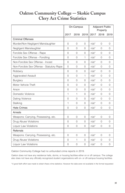# **Oakton Community College — Skokie Campus Clery Act Crime Statistics**

|                                           | On-Campus   |                | <b>Adjacent Public</b><br>Property |         |                |          |
|-------------------------------------------|-------------|----------------|------------------------------------|---------|----------------|----------|
|                                           | 2017        | 2018           | 2019                               | 2017    | 2018           | 2019     |
| <b>Criminal Offenses</b>                  |             |                |                                    |         |                |          |
| Murder/Non-Negligent Manslaughter         | $\Omega$    | $\Omega$       | $\Omega$                           | $n/a^*$ | $\Omega$       | $\Omega$ |
| Negligent Manslaughter                    | $\Omega$    | $\Omega$       | $\Omega$                           | $n/a^*$ | $\Omega$       | $\Omega$ |
| Forcible Sex Offense - Rape               | $\Omega$    | $\Omega$       | $\Omega$                           | $n/a^*$ | $\Omega$       | $\Omega$ |
| Forcible Sex Offense - Fondling           | $\mathbf 0$ | 0              | 1                                  | $n/a^*$ | $\circ$        | $\Omega$ |
| Non-Forcible Sex Offense - Incest         | $\Omega$    | $\Omega$       | $\Omega$                           | $n/a^*$ | $\Omega$       | $\Omega$ |
| Non-Forcible Sex Offense - Statutory Rape | $\Omega$    | 0              | $\circ$                            | $n/a^*$ | $\circ$        | $\Omega$ |
| Robbery                                   | $\Omega$    | $\Omega$       | $\Omega$                           | $n/a^*$ | $\Omega$       | $\Omega$ |
| <b>Aggravated Assault</b>                 | $\Omega$    | $\Omega$       | $\mathbf{1}$                       | $n/a^*$ | $\Omega$       | $\Omega$ |
| <b>Burglary</b>                           | $\Omega$    | $\Omega$       | $\Omega$                           | $n/a^*$ | $\Omega$       | $\Omega$ |
| Motor Vehicle Theft                       | $\Omega$    | $\overline{O}$ | $\overline{0}$                     | $n/a^*$ | $\Omega$       | $\Omega$ |
| Arson                                     | $\Omega$    | $\Omega$       | $\Omega$                           | $n/a^*$ | $\Omega$       | $\Omega$ |
| Domestic Violence                         | 1           | 1              | $\Omega$                           | $n/a^*$ | $\Omega$       | $\Omega$ |
| Dating Violence                           | $\Omega$    | $\Omega$       | 0                                  | $n/a^*$ | 0              | $\Omega$ |
| Stalking                                  | 1           | $\Omega$       | $\circ$                            | $n/a^*$ | $\Omega$       | $\Omega$ |
| <b>Hate Crimes</b>                        | $\mathbf 0$ | $\overline{0}$ | $\overline{0}$                     | $n/a*$  | $\overline{0}$ | 0        |
| Arrests                                   |             |                |                                    |         |                |          |
| Weapons: Carrying, Possessing, etc.       | $\mathbf 0$ | 0              | $\circ$                            | $n/a^*$ | $\Omega$       | $\Omega$ |
| Drug Abuse Violations                     | $\Omega$    | $\Omega$       | $\Omega$                           | $n/a^*$ | $\Omega$       | $\Omega$ |
| Liquor Law Violations                     | $\Omega$    | $\Omega$       | $\Omega$                           | $n/a^*$ | $\Omega$       | $\Omega$ |
| Referrals                                 |             |                |                                    |         |                |          |
| Weapons: Carrying, Possessing, etc.       | $\mathbf 0$ | $\overline{0}$ | $\circ$                            | $n/a^*$ | $\circ$        | $\Omega$ |
| Drug Abuse Violations                     | $\mathbf 0$ | 1              | $\circ$                            | $n/a^*$ | $\circ$        | 0        |
| <b>Liquor Law Violations</b>              | $\Omega$    | $\overline{0}$ | $\circ$                            | $n/a^*$ | $\overline{0}$ | 0        |

Oakton Community College had no unfounded crime reports in 2019.

Oakton does not have any residence halls, dorms, or housing facilities either on or off campus. The college also does not have any officially recognized student organizations with on- or off-campus housing facilities.

\*A good faith effort was made to obtain these crime statistics. However the data were not available in the format requested.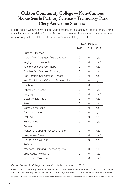# **Oakton Community College — Non-Campus Skokie Searle Parkway Science + Technology Park Clery Act Crime Statistics**

Note: Oakton Community College uses portions of this facility at limited times. Crime statistics are not available for specific building areas or time frames. Any crimes listed may or may not be related to Oakton Community College activities.

|                                           | Non-Campus |                |         |  |
|-------------------------------------------|------------|----------------|---------|--|
|                                           | 2017       | 2018           | 2019    |  |
| <b>Criminal Offenses</b>                  |            |                |         |  |
| Murder/Non-Negligent Manslaughter         | $\Omega$   | 0              | $n/a^*$ |  |
| Negligent Manslaughter                    | $\Omega$   | O              | $n/a^*$ |  |
| Forcible Sex Offense - Rape               | $\Omega$   | $\Omega$       | $n/a^*$ |  |
| Forcible Sex Offense - Fondling           | $\Omega$   | 0              | $n/a^*$ |  |
| Non-Forcible Sex Offense - Incest         | $\Omega$   | $\Omega$       | $n/a^*$ |  |
| Non-Forcible Sex Offense - Statutory Rape | $\Omega$   | $\Omega$       | $n/a^*$ |  |
| Robbery                                   | $\Omega$   | $\Omega$       | $n/a^*$ |  |
| <b>Aggravated Assault</b>                 | $\Omega$   | $\Omega$       | $n/a^*$ |  |
| Burglary                                  | 0          | 0              | $n/a^*$ |  |
| Motor Vehicle Theft                       | $\Omega$   | $\Omega$       | $n/a^*$ |  |
| Arson                                     | $\Omega$   | $\overline{0}$ | $n/a^*$ |  |
| Domestic Violence                         | $\Omega$   | $\Omega$       | $n/a^*$ |  |
| Dating Violence                           | $\Omega$   | $\Omega$       | $n/a^*$ |  |
| Stalking                                  | $\Omega$   | $\Omega$       | $n/a^*$ |  |
| <b>Hate Crimes</b>                        | $\Omega$   | $\Omega$       | $n/a^*$ |  |
| Arrests                                   |            |                |         |  |
| Weapons: Carrying, Possessing, etc.       | $\Omega$   | $\Omega$       | $n/a^*$ |  |
| Drug Abuse Violations                     | 0          | 0              | $n/a^*$ |  |
| <b>Liquor Law Violations</b>              | $\Omega$   | $\Omega$       | $n/a^*$ |  |
| Referrals                                 |            |                |         |  |
| Weapons: Carrying, Possessing, etc.       | 0          | 0              | $n/a^*$ |  |
| Drug Abuse Violations                     | $\Omega$   | O              | $n/a^*$ |  |
| <b>Liquor Law Violations</b>              | 0          | 0              | $n/a^*$ |  |

Oakton Community College had no unfounded crime reports in 2019.

Oakton does not have any residence halls, dorms, or housing facilities either on or off campus. The college also does not have any officially recognized student organizations with on- or off-campus housing facilities.

\*A good faith effort was made to obtain these crime statistics. However the data were not available in the format requested.